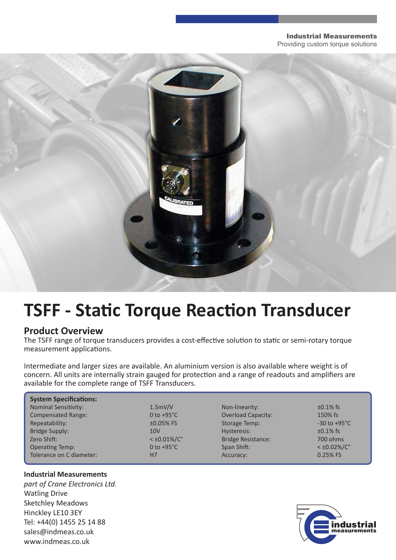#### Industrial Measurements

Providing custom torque solutions



# **TSFF - Static Torque Reaction Transducer**

### **Product Overview**

The TSFF range of torque transducers provides a cost-effective solution to static or semi-rotary torque measurement applications.

Intermediate and larger sizes are available. An aluminium version is also available where weight is of concern. All units are internally strain gauged for protection and a range of readouts and amplifiers are available for the complete range of TSFF Transducers.

| <b>System Specifications:</b> |                         |                           |                          |
|-------------------------------|-------------------------|---------------------------|--------------------------|
| <b>Nominal Sensitivity:</b>   | 1.5mV/V                 | Non-linearity:            | $\pm 0.1\%$ fs           |
| <b>Compensated Range:</b>     | 0 to $+95^{\circ}$ C    | <b>Overload Capacity:</b> | 150% fs                  |
| Repeatability:                | $±0.05%$ FS             | Storage Temp:             | $-30$ to $+95^{\circ}$ C |
| <b>Bridge Supply:</b>         | 10V                     | Hysteresis:               | $\pm 0.1\%$ fs           |
| Zero Shift:                   | $<$ ±0.01%/ $C^{\circ}$ | <b>Bridge Resistance:</b> | 700 ohms                 |
| <b>Operating Temp:</b>        | 0 to $+95^{\circ}$ C    | Span Shift:               | $<\pm 0.02\%/C^{\circ}$  |
| Tolerance on C diameter:      | H7                      | Accuracy:                 | 0.25% FS                 |

### **Industrial Measurements**

*part of Crane Electronics Ltd.* Watling Drive Sketchley Meadows Hinckley LE10 3EY Tel: +44(0) 1455 25 14 88 sales@indmeas.co.uk www.indmeas.co.uk